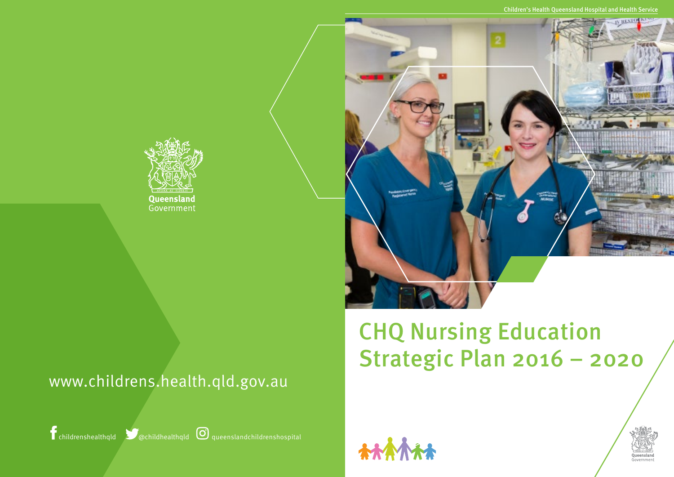

## CHQ Nursing Education Strategic Plan 2016 – 2020





Children's Health Queensland Hospital and Health Service



childrenshealthqld @childhealthqld queenslandchildrenshospital

## www.childrens.health.qld.gov.au